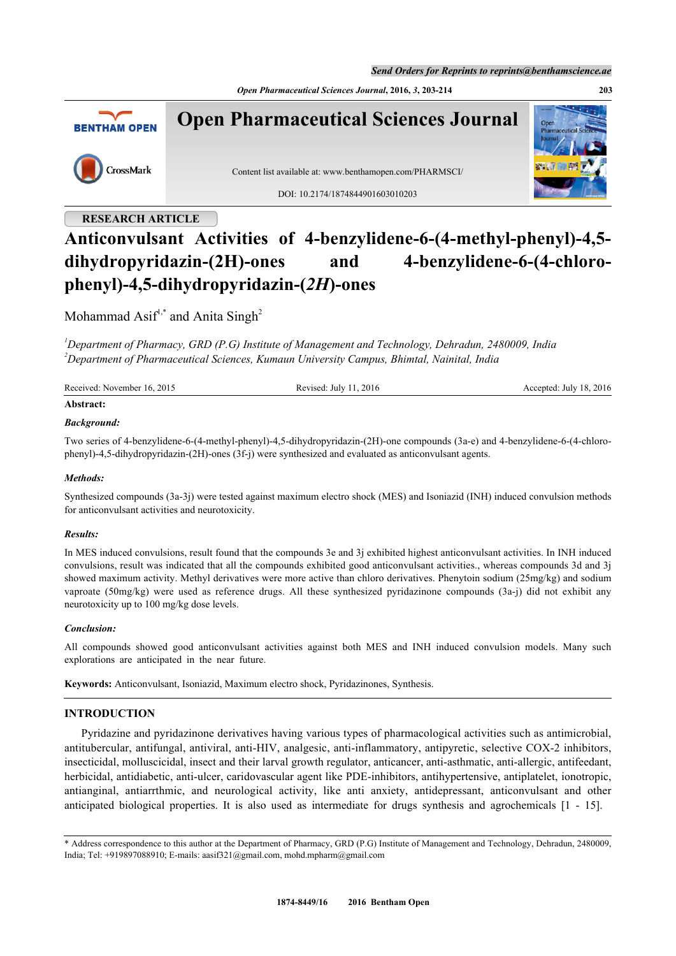*Open Pharmaceutical Sciences Journal***, 2016,** *3***, 203-214 203**



Content list available at: [www.benthamopen.com/PHARMSCI/](http://www.benthamopen.com/PHARMSCI/)

DOI: [10.2174/1874844901603010](http://dx.doi.org/10.2174/1874844901603010203)203

## **RESEARCH ARTICLE**

# **Anticonvulsant Activities of 4-benzylidene-6-(4-methyl-phenyl)-4,5 dihydropyridazin-(2H)-ones and 4-benzylidene-6-(4-chlorophenyl)-4,5-dihydropyridazin-(***2H***)-ones**

## Mohammad Asif<sup>[1,](#page-0-0)[\\*](#page-0-1)</sup> and Anita Singh<sup>[2](#page-0-2)</sup>

<span id="page-0-2"></span><span id="page-0-0"></span>*<sup>1</sup>Department of Pharmacy, GRD (P.G) Institute of Management and Technology, Dehradun, 2480009, India <sup>2</sup>Department of Pharmaceutical Sciences, Kumaun University Campus, Bhimtal, Nainital, India*

| Received: November 16, 2015 | Revised: July 11, 2016 | Accepted: July 18, 2016 |
|-----------------------------|------------------------|-------------------------|
| Abstract:                   |                        |                         |

## *Background:*

Two series of 4-benzylidene-6-(4-methyl-phenyl)-4,5-dihydropyridazin-(2H)-one compounds (3a-e) and 4-benzylidene-6-(4-chlorophenyl)-4,5-dihydropyridazin-(2H)-ones (3f-j) were synthesized and evaluated as anticonvulsant agents.

## *Methods:*

Synthesized compounds (3a-3j) were tested against maximum electro shock (MES) and Isoniazid (INH) induced convulsion methods for anticonvulsant activities and neurotoxicity.

## *Results:*

In MES induced convulsions, result found that the compounds 3e and 3j exhibited highest anticonvulsant activities. In INH induced convulsions, result was indicated that all the compounds exhibited good anticonvulsant activities., whereas compounds 3d and 3j showed maximum activity. Methyl derivatives were more active than chloro derivatives. Phenytoin sodium (25mg/kg) and sodium vaproate (50mg/kg) were used as reference drugs. All these synthesized pyridazinone compounds (3a-j) did not exhibit any neurotoxicity up to 100 mg/kg dose levels.

## *Conclusion:*

All compounds showed good anticonvulsant activities against both MES and INH induced convulsion models. Many such explorations are anticipated in the near future.

**Keywords:** Anticonvulsant, Isoniazid, Maximum electro shock, Pyridazinones, Synthesis.

## **INTRODUCTION**

Pyridazine and pyridazinone derivatives having various types of pharmacological activities such as antimicrobial, antitubercular, antifungal, antiviral, anti-HIV, analgesic, anti-inflammatory, antipyretic, selective COX-2 inhibitors, insecticidal, molluscicidal, insect and their larval growth regulator, anticancer, anti-asthmatic, anti-allergic, antifeedant, herbicidal, antidiabetic, anti-ulcer, caridovascular agent like PDE-inhibitors, antihypertensive, antiplatelet, ionotropic, antianginal, antiarrthmic, and neurological activity, like anti anxiety, antidepressant, anticonvulsant and other anticipated biological properties. It is also used as intermediate for drugs synthesis and agrochemicals[[1](#page-9-0) - [15](#page-9-1)].



<span id="page-0-1"></span><sup>\*</sup> Address correspondence to this author at the Department of Pharmacy, GRD (P.G) Institute of Management and Technology, Dehradun, 2480009, India; Tel: +919897088910; E-mails: [aasif321@gmail.com,](mailto:aasif321@gmail.com) [mohd.mpharm@gmail.com](mailto:mohd.mpharm@gmail.com)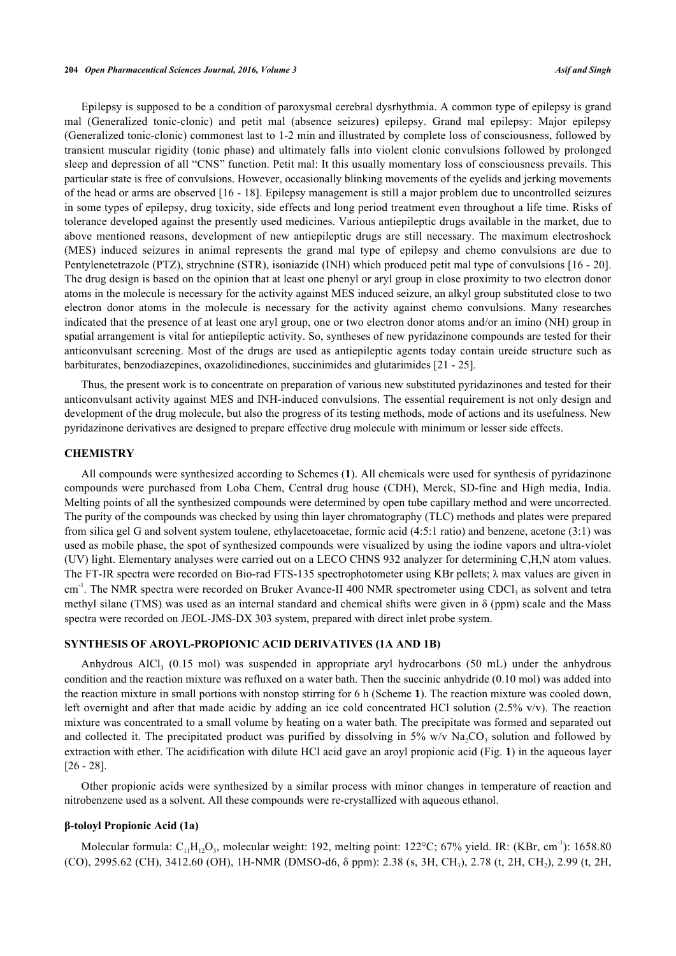Epilepsy is supposed to be a condition of paroxysmal cerebral dysrhythmia. A common type of epilepsy is grand mal (Generalized tonic-clonic) and petit mal (absence seizures) epilepsy. Grand mal epilepsy: Major epilepsy (Generalized tonic-clonic) commonest last to 1-2 min and illustrated by complete loss of consciousness, followed by transient muscular rigidity (tonic phase) and ultimately falls into violent clonic convulsions followed by prolonged sleep and depression of all "CNS" function. Petit mal: It this usually momentary loss of consciousness prevails. This particular state is free of convulsions. However, occasionally blinking movements of the eyelids and jerking movements of the head or arms are observed [\[16](#page-9-2) - [18](#page-9-3)]. Epilepsy management is still a major problem due to uncontrolled seizures in some types of epilepsy, drug toxicity, side effects and long period treatment even throughout a life time. Risks of tolerance developed against the presently used medicines. Various antiepileptic drugs available in the market, due to above mentioned reasons, development of new antiepileptic drugs are still necessary. The maximum electroshock (MES) induced seizures in animal represents the grand mal type of epilepsy and chemo convulsions are due to Pentylenetetrazole (PTZ), strychnine (STR), isoniazide (INH) which produced petit mal type of convulsions [[16](#page-9-2) - [20\]](#page-9-4). The drug design is based on the opinion that at least one phenyl or aryl group in close proximity to two electron donor atoms in the molecule is necessary for the activity against MES induced seizure, an alkyl group substituted close to two electron donor atoms in the molecule is necessary for the activity against chemo convulsions. Many researches indicated that the presence of at least one aryl group, one or two electron donor atoms and/or an imino (NH) group in spatial arrangement is vital for antiepileptic activity. So, syntheses of new pyridazinone compounds are tested for their anticonvulsant screening. Most of the drugs are used as antiepileptic agents today contain ureide structure such as barbiturates, benzodiazepines, oxazolidinediones, succinimides and glutarimides [\[21](#page-9-5) - [25\]](#page-10-0).

Thus, the present work is to concentrate on preparation of various new substituted pyridazinones and tested for their anticonvulsant activity against MES and INH-induced convulsions. The essential requirement is not only design and development of the drug molecule, but also the progress of its testing methods, mode of actions and its usefulness. New pyridazinone derivatives are designed to prepare effective drug molecule with minimum or lesser side effects.

## **CHEMISTRY**

All compounds were synthesized according to Schemes (**1**). All chemicals were used for synthesis of pyridazinone compounds were purchased from Loba Chem, Central drug house (CDH), Merck, SD-fine and High media, India. Melting points of all the synthesized compounds were determined by open tube capillary method and were uncorrected. The purity of the compounds was checked by using thin layer chromatography (TLC) methods and plates were prepared from silica gel G and solvent system toulene, ethylacetoacetae, formic acid (4:5:1 ratio) and benzene, acetone (3:1) was used as mobile phase, the spot of synthesized compounds were visualized by using the iodine vapors and ultra-violet (UV) light. Elementary analyses were carried out on a LECO CHNS 932 analyzer for determining C,H,N atom values. The FT-IR spectra were recorded on Bio-rad FTS-135 spectrophotometer using KBr pellets;  $\lambda$  max values are given in cm<sup>-1</sup>. The NMR spectra were recorded on Bruker Avance-II 400 NMR spectrometer using CDCl<sub>3</sub> as solvent and tetra methyl silane (TMS) was used as an internal standard and chemical shifts were given in  $\delta$  (ppm) scale and the Mass spectra were recorded on JEOL-JMS-DX 303 system, prepared with direct inlet probe system.

#### **SYNTHESIS OF AROYL-PROPIONIC ACID DERIVATIVES (1A AND 1B)**

Anhydrous AlCl<sub>3</sub> (0.15 mol) was suspended in appropriate aryl hydrocarbons (50 mL) under the anhydrous condition and the reaction mixture was refluxed on a water bath. Then the succinic anhydride (0.10 mol) was added into the reaction mixture in small portions with nonstop stirring for 6 h (Scheme **[1](#page-2-0)**). The reaction mixture was cooled down, left overnight and after that made acidic by adding an ice cold concentrated HCl solution (2.5% v/v). The reaction mixture was concentrated to a small volume by heating on a water bath. The precipitate was formed and separated out and collected it. The precipitated product was purified by dissolving in 5% w/v  $\text{Na}_2\text{CO}_3$  solution and followed by extraction with ether. The acidification with dilute HCl acid gave an aroyl propionic acid (Fig. **[1](#page-2-1)**) in the aqueous layer [\[26](#page-10-1) - [28](#page-10-2)].

Other propionic acids were synthesized by a similar process with minor changes in temperature of reaction and nitrobenzene used as a solvent. All these compounds were re-crystallized with aqueous ethanol.

## **β-toloyl Propionic Acid (1a)**

Molecular formula:  $C_{11}H_{12}O_3$ , molecular weight: 192, melting point: 122°C; 67% yield. IR: (KBr, cm<sup>-1</sup>): 1658.80 (CO), 2995.62 (CH), 3412.60 (OH), 1H-NMR (DMSO-d6, δ ppm): 2.38 (s, 3H, CH<sub>3</sub>), 2.78 (t, 2H, CH<sub>2</sub>), 2.99 (t, 2H,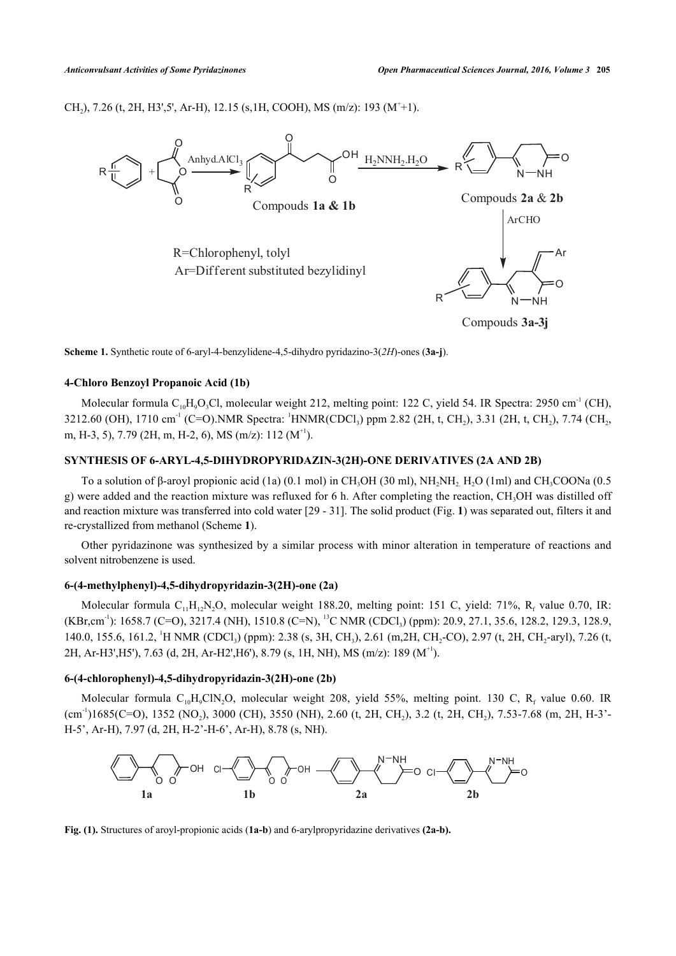<span id="page-2-0"></span>CH<sub>2</sub>), 7.26 (t, 2H, H3',5', Ar-H), 12.15 (s, 1H, COOH), MS (m/z): 193 (M<sup>+</sup>+1).



**Scheme 1.** Synthetic route of 6-aryl-4-benzylidene-4,5-dihydro pyridazino-3(*2H*)-ones (**3a-j**).

## **4-Chloro Benzoyl Propanoic Acid (1b)**

Molecular formula  $C_{10}H_9O_3Cl$ , molecular weight 212, melting point: 122 C, yield 54. IR Spectra: 2950 cm<sup>-1</sup> (CH), 3212.60 (OH), 1710 cm<sup>-1</sup> (C=O).NMR Spectra: <sup>1</sup>HNMR(CDCl<sub>3</sub>) ppm 2.82 (2H, t, CH<sub>2</sub>), 3.31 (2H, t, CH<sub>2</sub>), 7.74 (CH<sub>2</sub>, m, H-3, 5), 7.79 (2H, m, H-2, 6), MS (m/z): 112 ( $M^{+1}$ ).

## **SYNTHESIS OF 6-ARYL-4,5-DIHYDROPYRIDAZIN-3(2H)-ONE DERIVATIVES (2A AND 2B)**

To a solution of  $\beta$ -aroyl propionic acid (1a) (0.1 mol) in CH<sub>3</sub>OH (30 ml), NH<sub>2</sub>NH<sub>2</sub>. H<sub>2</sub>O (1ml) and CH<sub>3</sub>COONa (0.5 g) were added and the reaction mixture was refluxed for 6 h. After completing the reaction, CH<sub>3</sub>OH was distilled off and reaction mixture was transferred into cold water [[29](#page-10-3) - [31](#page-10-4)]. The solid product (Fig. **[1](#page-2-1)**) was separated out, filters it and re-crystallized from methanol (Scheme **[1](#page-2-0)**).

Other pyridazinone was synthesized by a similar process with minor alteration in temperature of reactions and solvent nitrobenzene is used.

## **6-(4-methylphenyl)-4,5-dihydropyridazin-3(2H)-one (2a)**

Molecular formula  $C_{11}H_{12}N_2O$ , molecular weight 188.20, melting point: 151 C, yield: 71%, R<sub>f</sub> value 0.70, IR: (KBr,cm<sup>-1</sup>): 1658.7 (C=O), 3217.4 (NH), 1510.8 (C=N), <sup>13</sup>C NMR (CDCl<sub>3</sub>) (ppm): 20.9, 27.1, 35.6, 128.2, 129.3, 128.9, 140.0, 155.6, 161.2, <sup>1</sup>H NMR (CDCl<sub>3</sub>) (ppm): 2.38 (s, 3H, CH<sub>3</sub>), 2.61 (m,2H, CH<sub>2</sub>-CO), 2.97 (t, 2H, CH<sub>2</sub>-aryl), 7.26 (t, 2H, Ar-H3', H5'), 7.63 (d, 2H, Ar-H2', H6'), 8.79 (s, 1H, NH), MS (m/z): 189 ( $M^{+1}$ ).

## **6-(4-chlorophenyl)-4,5-dihydropyridazin-3(2H)-one (2b)**

<span id="page-2-1"></span>Molecular formula  $C_{10}H_9CIN_2O$ , molecular weight 208, yield 55%, melting point. 130 C, R<sub>f</sub> value 0.60. IR  $(cm<sup>-1</sup>)1685(C=O), 1352 (NO<sub>2</sub>), 3000 (CH), 3550 (NH), 2.60 (t, 2H, CH<sub>2</sub>), 3.2 (t, 2H, CH<sub>2</sub>), 7.53-7.68 (m, 2H, H-3'-100)$ H-5', Ar-H), 7.97 (d, 2H, H-2'-H-6', Ar-H), 8.78 (s, NH).



**Fig. (1).** Structures of aroyl-propionic acids (**1a-b**) and 6-arylpropyridazine derivatives **(2a-b).**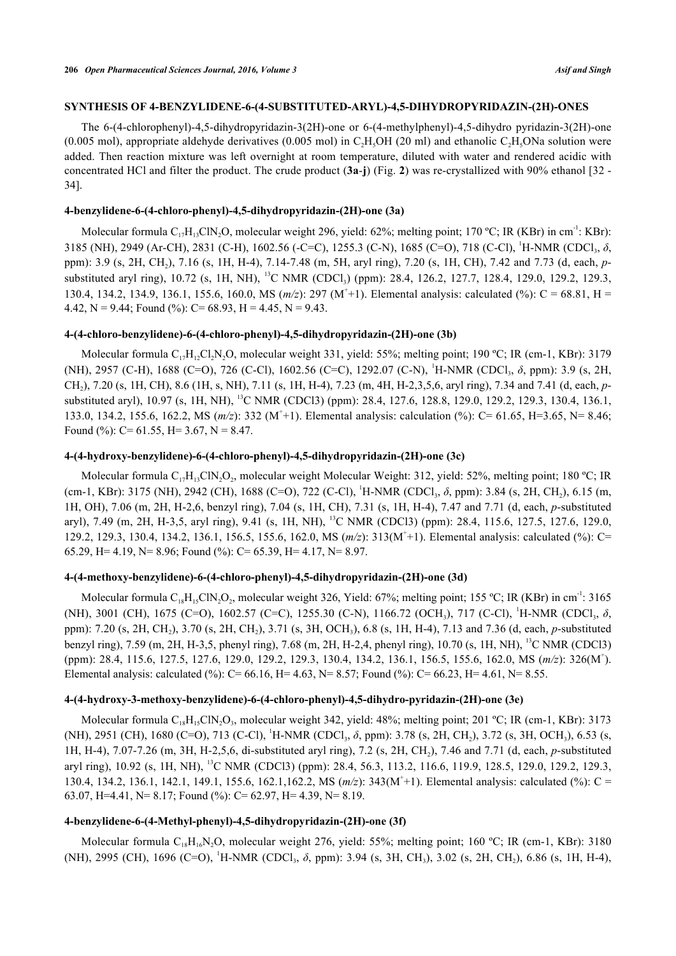## **SYNTHESIS OF 4-BENZYLIDENE-6-(4-SUBSTITUTED-ARYL)-4,5-DIHYDROPYRIDAZIN-(2H)-ONES**

The 6-(4-chlorophenyl)-4,5-dihydropyridazin-3(2H)-one or 6-(4-methylphenyl)-4,5-dihydro pyridazin-3(2H)-one (0.005 mol), appropriate aldehyde derivatives (0.005 mol) in C<sub>2</sub>H<sub>5</sub>OH (20 ml) and ethanolic C<sub>2</sub>H<sub>5</sub>ONa solution were added. Then reaction mixture was left overnight at room temperature, diluted with water and rendered acidic with concentrated HCl and filter the product. The crude product (**3a**-**j**) (Fig. **[2](#page-5-0)**) was re-crystallized with 90% ethanol [\[32](#page-10-5) - [34\]](#page-10-6).

## **4-benzylidene-6-(4-chloro-phenyl)-4,5-dihydropyridazin-(2H)-one (3a)**

Molecular formula  $C_{17}H_{13}CN_2O$ , molecular weight 296, yield: 62%; melting point; 170 °C; IR (KBr) in cm<sup>-1</sup>: KBr): 3185 (NH), 2949 (Ar-CH), 2831 (C-H), 1602.56 (-C=C), 1255.3 (C-N), 1685 (C=O), 718 (C-Cl), <sup>1</sup>H-NMR (CDCl<sub>3</sub>, δ, ppm): 3.9 (s, 2H, CH<sup>2</sup> ), 7.16 (s, 1H, H-4), 7.14-7.48 (m, 5H, aryl ring), 7.20 (s, 1H, CH), 7.42 and 7.73 (d, each, *p*substituted aryl ring), 10.72 (s, 1H, NH), <sup>13</sup>C NMR (CDCl<sub>3</sub>) (ppm): 28.4, 126.2, 127.7, 128.4, 129.0, 129.2, 129.3, 130.4, 134.2, 134.9, 136.1, 155.6, 160.0, MS ( $m/z$ ): 297 (M<sup>+</sup>+1). Elemental analysis: calculated (%): C = 68.81, H = 4.42, N = 9.44; Found  $\binom{0}{0}$ : C = 68.93, H = 4.45, N = 9.43.

## **4-(4-chloro-benzylidene)-6-(4-chloro-phenyl)-4,5-dihydropyridazin-(2H)-one (3b)**

Molecular formula  $C_{17}H_{12}Cl_2N_2O$ , molecular weight 331, yield: 55%; melting point; 190 °C; IR (cm-1, KBr): 3179 (NH), 2957 (C-H), 1688 (C=O), 726 (C-Cl), 1602.56 (C=C), 1292.07 (C-N), <sup>1</sup>H-NMR (CDCl<sub>3</sub>, δ, ppm): 3.9 (s, 2H, CH<sup>2</sup> ), 7.20 (s, 1H, CH), 8.6 (1H, s, NH), 7.11 (s, 1H, H-4), 7.23 (m, 4H, H-2,3,5,6, aryl ring), 7.34 and 7.41 (d, each, *p*substituted aryl), 10.97 (s, 1H, NH), <sup>13</sup>C NMR (CDCl3) (ppm): 28.4, 127.6, 128.8, 129.0, 129.2, 129.3, 130.4, 136.1, 133.0, 134.2, 155.6, 162.2, MS ( $m/z$ ): 332 (M<sup>+</sup>+1). Elemental analysis: calculation (%): C= 61.65, H=3.65, N= 8.46; Found  $(\%)$ : C= 61.55, H= 3.67, N = 8.47.

## **4-(4-hydroxy-benzylidene)-6-(4-chloro-phenyl)-4,5-dihydropyridazin-(2H)-one (3c)**

Molecular formula C<sub>17</sub>H<sub>13</sub>ClN<sub>2</sub>O<sub>2</sub>, molecular weight Molecular Weight: 312, yield: 52%, melting point; 180 °C; IR (cm-1, KBr): 3175 (NH), 2942 (CH), 1688 (C=O), 722 (C-Cl), <sup>1</sup>H-NMR (CDCl<sub>3</sub>, δ, ppm): 3.84 (s, 2H, CH<sub>2</sub>), 6.15 (m, 1H, OH), 7.06 (m, 2H, H-2,6, benzyl ring), 7.04 (s, 1H, CH), 7.31 (s, 1H, H-4), 7.47 and 7.71 (d, each, *p*-substituted aryl), 7.49 (m, 2H, H-3,5, aryl ring), 9.41 (s, 1H, NH), <sup>13</sup>C NMR (CDCl3) (ppm): 28.4, 115.6, 127.5, 127.6, 129.0, 129.2, 129.3, 130.4, 134.2, 136.1, 156.5, 155.6, 162.0, MS (*m/z*): 313(M<sup>+</sup> +1). Elemental analysis: calculated (%): C= 65.29, H= 4.19, N= 8.96; Found (%): C= 65.39, H= 4.17, N= 8.97.

## **4-(4-methoxy-benzylidene)-6-(4-chloro-phenyl)-4,5-dihydropyridazin-(2H)-one (3d)**

Molecular formula  $C_{18}H_{15}CIN_2O_2$ , molecular weight 326, Yield: 67%; melting point; 155 °C; IR (KBr) in cm<sup>-1</sup>: 3165 (NH), 3001 (CH), 1675 (C=O), 1602.57 (C=C), 1255.30 (C-N), 1166.72 (OCH<sub>3</sub>), 717 (C-Cl), <sup>1</sup>H-NMR (CDCl<sub>3</sub>, δ, ppm): 7.20 (s, 2H, CH<sub>2</sub>), 3.70 (s, 2H, CH<sub>2</sub>), 3.71 (s, 3H, OCH<sub>3</sub>), 6.8 (s, 1H, H-4), 7.13 and 7.36 (d, each, *p*-substituted benzyl ring), 7.59 (m, 2H, H-3,5, phenyl ring), 7.68 (m, 2H, H-2,4, phenyl ring), 10.70 (s, 1H, NH), <sup>13</sup>C NMR (CDCl3) (ppm): 28.4, 115.6, 127.5, 127.6, 129.0, 129.2, 129.3, 130.4, 134.2, 136.1, 156.5, 155.6, 162.0, MS (*m/z*): 326(M<sup>+</sup> ). Elemental analysis: calculated (%): C= 66.16, H= 4.63, N= 8.57; Found (%): C= 66.23, H= 4.61, N= 8.55.

## **4-(4-hydroxy-3-methoxy-benzylidene)-6-(4-chloro-phenyl)-4,5-dihydro-pyridazin-(2H)-one (3e)**

Molecular formula C<sub>18</sub>H<sub>15</sub>ClN<sub>2</sub>O<sub>3</sub>, molecular weight 342, yield: 48%; melting point; 201 °C; IR (cm-1, KBr): 3173 (NH), 2951 (CH), 1680 (C=O), 713 (C-Cl), <sup>1</sup>H-NMR (CDCl<sub>3</sub>, δ, ppm): 3.78 (s, 2H, CH<sub>2</sub>), 3.72 (s, 3H, OCH<sub>3</sub>), 6.53 (s, 1H, H-4), 7.07-7.26 (m, 3H, H-2,5,6, di-substituted aryl ring), 7.2 (s, 2H, CH<sup>2</sup> ), 7.46 and 7.71 (d, each, *p*-substituted aryl ring), 10.92 (s, 1H, NH), <sup>13</sup>C NMR (CDCl3) (ppm): 28.4, 56.3, 113.2, 116.6, 119.9, 128.5, 129.0, 129.2, 129.3, 130.4, 134.2, 136.1, 142.1, 149.1, 155.6, 162.1, 162.2, MS ( $m/z$ ): 343( $M^+$ +1). Elemental analysis: calculated (%): C = 63.07, H=4.41, N= 8.17; Found  $\frac{6}{6}$ : C= 62.97, H= 4.39, N= 8.19.

## **4-benzylidene-6-(4-Methyl-phenyl)-4,5-dihydropyridazin-(2H)-one (3f)**

Molecular formula  $C_{18}H_{16}N$ , O, molecular weight 276, yield: 55%; melting point; 160 °C; IR (cm-1, KBr): 3180 (NH), 2995 (CH), 1696 (C=O), <sup>1</sup>H-NMR (CDCl<sub>3</sub>, δ, ppm): 3.94 (s, 3H, CH<sub>3</sub>), 3.02 (s, 2H, CH<sub>2</sub>), 6.86 (s, 1H, H-4),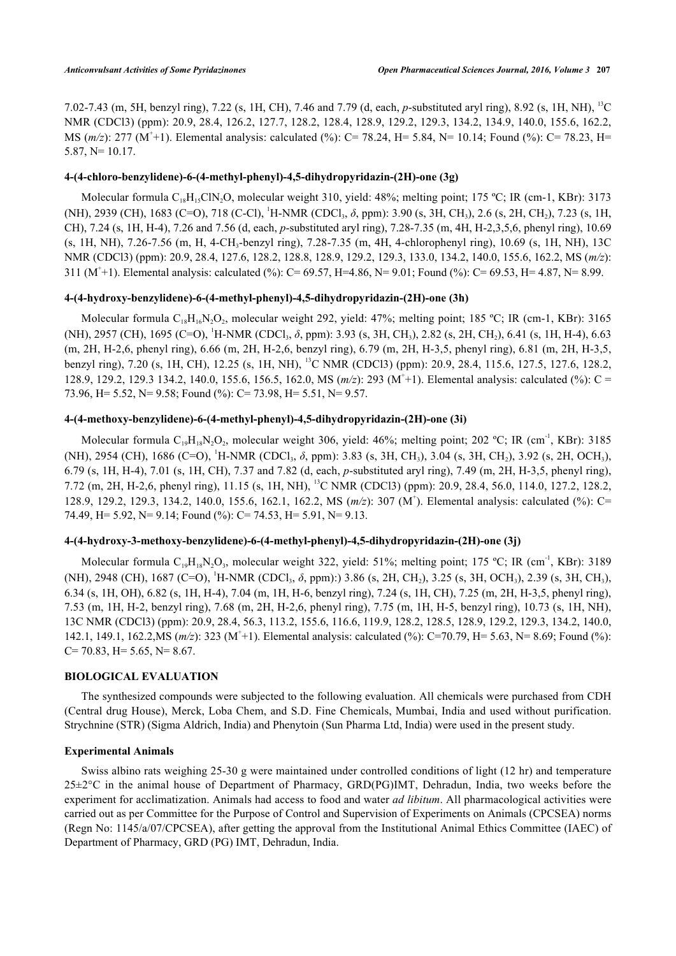7.02-7.43 (m, 5H, benzyl ring), 7.22 (s, 1H, CH), 7.46 and 7.79 (d, each, *p*-substituted aryl ring), 8.92 (s, 1H, NH), <sup>13</sup>C NMR (CDCl3) (ppm): 20.9, 28.4, 126.2, 127.7, 128.2, 128.4, 128.9, 129.2, 129.3, 134.2, 134.9, 140.0, 155.6, 162.2, MS (*m/z*): 277 (M<sup>+</sup>+1). Elemental analysis: calculated (%): C= 78.24, H= 5.84, N= 10.14; Found (%): C= 78.23, H= 5.87, N= 10.17.

## **4-(4-chloro-benzylidene)-6-(4-methyl-phenyl)-4,5-dihydropyridazin-(2H)-one (3g)**

Molecular formula C<sub>18</sub>H<sub>15</sub>ClN<sub>2</sub>O, molecular weight 310, yield: 48%; melting point; 175 °C; IR (cm-1, KBr): 3173 (NH), 2939 (CH), 1683 (C=O), 718 (C-Cl), <sup>1</sup>H-NMR (CDCl<sub>3</sub>, δ, ppm): 3.90 (s, 3H, CH<sub>3</sub>), 2.6 (s, 2H, CH<sub>2</sub>), 7.23 (s, 1H, CH), 7.24 (s, 1H, H-4), 7.26 and 7.56 (d, each, *p*-substituted aryl ring), 7.28-7.35 (m, 4H, H-2,3,5,6, phenyl ring), 10.69 (s, 1H, NH), 7.26-7.56 (m, H, 4-CH<sub>3</sub>-benzyl ring), 7.28-7.35 (m, 4H, 4-chlorophenyl ring), 10.69 (s, 1H, NH), 13C NMR (CDCl3) (ppm): 20.9, 28.4, 127.6, 128.2, 128.8, 128.9, 129.2, 129.3, 133.0, 134.2, 140.0, 155.6, 162.2, MS (*m/z*): 311 (M<sup>+</sup>+1). Elemental analysis: calculated (%): C= 69.57, H=4.86, N= 9.01; Found (%): C= 69.53, H= 4.87, N= 8.99.

## **4-(4-hydroxy-benzylidene)-6-(4-methyl-phenyl)-4,5-dihydropyridazin-(2H)-one (3h)**

Molecular formula  $C_{18}H_{16}N_2O_2$ , molecular weight 292, yield: 47%; melting point; 185 °C; IR (cm-1, KBr): 3165 (NH), 2957 (CH), 1695 (C=O), <sup>1</sup>H-NMR (CDCl<sub>3</sub>, δ, ppm): 3.93 (s, 3H, CH<sub>3</sub>), 2.82 (s, 2H, CH<sub>2</sub>), 6.41 (s, 1H, H-4), 6.63 (m, 2H, H-2,6, phenyl ring), 6.66 (m, 2H, H-2,6, benzyl ring), 6.79 (m, 2H, H-3,5, phenyl ring), 6.81 (m, 2H, H-3,5, benzyl ring), 7.20 (s, 1H, CH), 12.25 (s, 1H, NH), <sup>13</sup>C NMR (CDCl3) (ppm): 20.9, 28.4, 115.6, 127.5, 127.6, 128.2, 128.9, 129.2, 129.3 134.2, 140.0, 155.6, 156.5, 162.0, MS ( $m/z$ ): 293 (M<sup>+</sup>+1). Elemental analysis: calculated (%): C = 73.96, H= 5.52, N= 9.58; Found (%): C= 73.98, H= 5.51, N= 9.57.

## **4-(4-methoxy-benzylidene)-6-(4-methyl-phenyl)-4,5-dihydropyridazin-(2H)-one (3i)**

Molecular formula  $C_{19}H_{18}N_2O_2$ , molecular weight 306, yield: 46%; melting point; 202 °C; IR (cm<sup>-1</sup>, KBr): 3185 (NH), 2954 (CH), 1686 (C=O), <sup>1</sup>H-NMR (CDCl<sub>3</sub>, δ, ppm): 3.83 (s, 3H, CH<sub>3</sub>), 3.04 (s, 3H, CH<sub>2</sub>), 3.92 (s, 2H, OCH<sub>3</sub>), 6.79 (s, 1H, H-4), 7.01 (s, 1H, CH), 7.37 and 7.82 (d, each, *p*-substituted aryl ring), 7.49 (m, 2H, H-3,5, phenyl ring), 7.72 (m, 2H, H-2,6, phenyl ring), 11.15 (s, 1H, NH), <sup>13</sup>C NMR (CDCl3) (ppm): 20.9, 28.4, 56.0, 114.0, 127.2, 128.2, 128.9, 129.2, 129.3, 134.2, 140.0, 155.6, 162.1, 162.2, MS ( $m/z$ ): 307 (M<sup>+</sup>). Elemental analysis: calculated (%): C= 74.49, H= 5.92, N= 9.14; Found (%): C= 74.53, H= 5.91, N= 9.13.

## **4-(4-hydroxy-3-methoxy-benzylidene)-6-(4-methyl-phenyl)-4,5-dihydropyridazin-(2H)-one (3j)**

Molecular formula  $C_{19}H_{18}N_2O_3$ , molecular weight 322, yield: 51%; melting point; 175 °C; IR (cm<sup>-1</sup>, KBr): 3189 (NH), 2948 (CH), 1687 (C=O), <sup>1</sup>H-NMR (CDCl<sub>3</sub>, δ, ppm):) 3.86 (s, 2H, CH<sub>2</sub>), 3.25 (s, 3H, OCH<sub>3</sub>), 2.39 (s, 3H, CH<sub>3</sub>), 6.34 (s, 1H, OH), 6.82 (s, 1H, H-4), 7.04 (m, 1H, H-6, benzyl ring), 7.24 (s, 1H, CH), 7.25 (m, 2H, H-3,5, phenyl ring), 7.53 (m, 1H, H-2, benzyl ring), 7.68 (m, 2H, H-2,6, phenyl ring), 7.75 (m, 1H, H-5, benzyl ring), 10.73 (s, 1H, NH), 13C NMR (CDCl3) (ppm): 20.9, 28.4, 56.3, 113.2, 155.6, 116.6, 119.9, 128.2, 128.5, 128.9, 129.2, 129.3, 134.2, 140.0, 142.1, 149.1, 162.2, MS ( $m/z$ ): 323 (M<sup>+</sup>+1). Elemental analysis: calculated (%): C=70.79, H= 5.63, N= 8.69; Found (%):  $C= 70.83$ , H = 5.65, N = 8.67.

## **BIOLOGICAL EVALUATION**

The synthesized compounds were subjected to the following evaluation. All chemicals were purchased from CDH (Central drug House), Merck, Loba Chem, and S.D. Fine Chemicals, Mumbai, India and used without purification. Strychnine (STR) (Sigma Aldrich, India) and Phenytoin (Sun Pharma Ltd, India) were used in the present study.

## **Experimental Animals**

Swiss albino rats weighing 25-30 g were maintained under controlled conditions of light (12 hr) and temperature  $25\pm2^{\circ}$ C in the animal house of Department of Pharmacy, GRD(PG)IMT, Dehradun, India, two weeks before the experiment for acclimatization. Animals had access to food and water *ad libitum*. All pharmacological activities were carried out as per Committee for the Purpose of Control and Supervision of Experiments on Animals (CPCSEA) norms (Regn No: 1145/a/07/CPCSEA), after getting the approval from the Institutional Animal Ethics Committee (IAEC) of Department of Pharmacy, GRD (PG) IMT, Dehradun, India.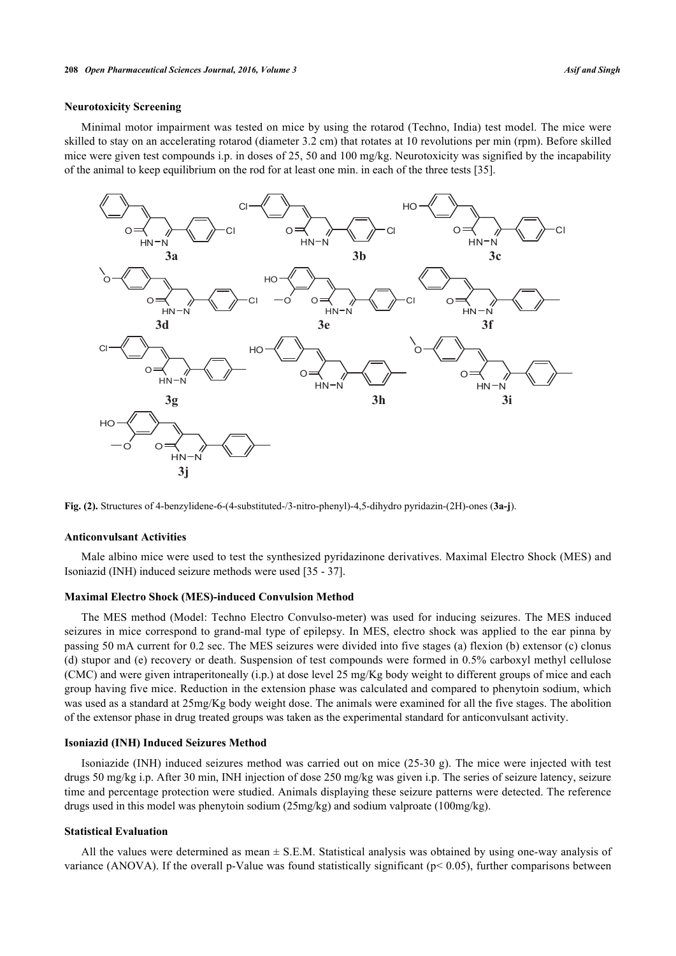### **Neurotoxicity Screening**

Minimal motor impairment was tested on mice by using the rotarod (Techno, India) test model. The mice were skilled to stay on an accelerating rotarod (diameter 3.2 cm) that rotates at 10 revolutions per min (rpm). Before skilled mice were given test compounds i.p. in doses of 25, 50 and 100 mg/kg. Neurotoxicity was signified by the incapability of the animal to keep equilibrium on the rod for at least one min. in each of the three tests [[35\]](#page-10-7).

<span id="page-5-0"></span>

**Fig. (2).** Structures of 4-benzylidene-6-(4-substituted-/3-nitro-phenyl)-4,5-dihydro pyridazin-(2H)-ones (**3a-j**).

#### **Anticonvulsant Activities**

Male albino mice were used to test the synthesized pyridazinone derivatives. Maximal Electro Shock (MES) and Isoniazid (INH) induced seizure methods were used [\[35](#page-10-7) - [37\]](#page-10-8).

#### **Maximal Electro Shock (MES)-induced Convulsion Method**

The MES method (Model: Techno Electro Convulso-meter) was used for inducing seizures. The MES induced seizures in mice correspond to grand-mal type of epilepsy. In MES, electro shock was applied to the ear pinna by passing 50 mA current for 0.2 sec. The MES seizures were divided into five stages (a) flexion (b) extensor (c) clonus (d) stupor and (e) recovery or death. Suspension of test compounds were formed in 0.5% carboxyl methyl cellulose (CMC) and were given intraperitoneally (i.p.) at dose level 25 mg/Kg body weight to different groups of mice and each group having five mice. Reduction in the extension phase was calculated and compared to phenytoin sodium, which was used as a standard at 25mg/Kg body weight dose. The animals were examined for all the five stages. The abolition of the extensor phase in drug treated groups was taken as the experimental standard for anticonvulsant activity.

#### **Isoniazid (INH) Induced Seizures Method**

Isoniazide (INH) induced seizures method was carried out on mice (25-30 g). The mice were injected with test drugs 50 mg/kg i.p. After 30 min, INH injection of dose 250 mg/kg was given i.p. The series of seizure latency, seizure time and percentage protection were studied. Animals displaying these seizure patterns were detected. The reference drugs used in this model was phenytoin sodium (25mg/kg) and sodium valproate (100mg/kg).

## **Statistical Evaluation**

All the values were determined as mean  $\pm$  S.E.M. Statistical analysis was obtained by using one-way analysis of variance (ANOVA). If the overall p-Value was found statistically significant ( $p < 0.05$ ), further comparisons between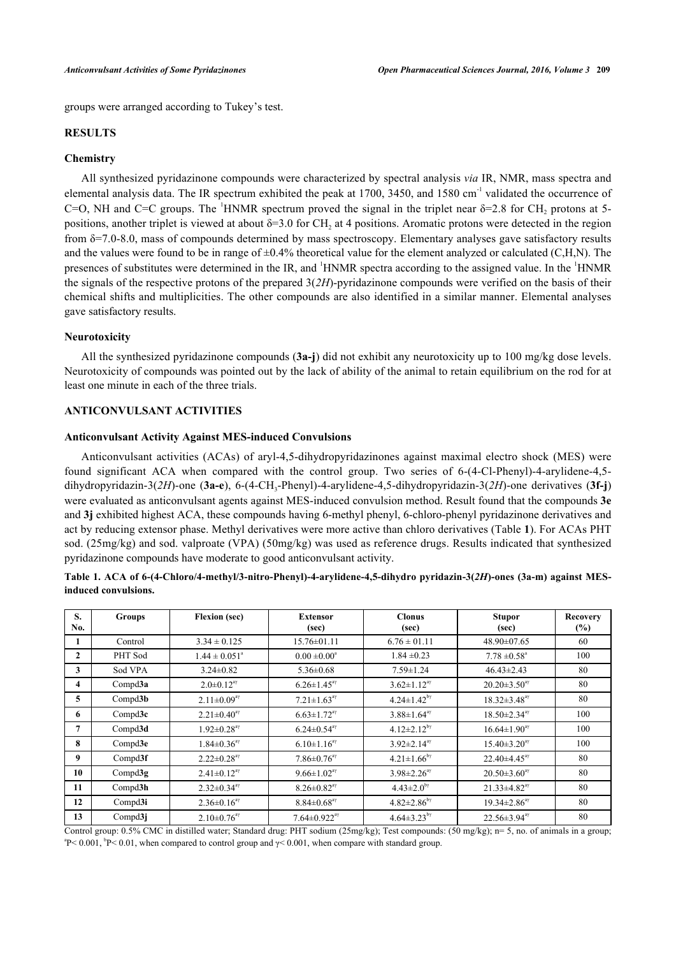groups were arranged according to Tukey's test.

## **RESULTS**

#### **Chemistry**

All synthesized pyridazinone compounds were characterized by spectral analysis *via* IR, NMR, mass spectra and elemental analysis data. The IR spectrum exhibited the peak at  $1700$ ,  $3450$ , and  $1580 \text{ cm}^{-1}$  validated the occurrence of C=O, NH and C=C groups. The <sup>1</sup>HNMR spectrum proved the signal in the triplet near  $\delta$ =2.8 for CH<sub>2</sub> protons at 5positions, another triplet is viewed at about  $\delta = 3.0$  for CH<sub>2</sub> at 4 positions. Aromatic protons were detected in the region from  $\delta$ =7.0-8.0, mass of compounds determined by mass spectroscopy. Elementary analyses gave satisfactory results and the values were found to be in range of  $\pm 0.4\%$  theoretical value for the element analyzed or calculated (C,H,N). The presences of substitutes were determined in the IR, and <sup>1</sup>HNMR spectra according to the assigned value. In the <sup>1</sup>HNMR the signals of the respective protons of the prepared 3(*2H*)-pyridazinone compounds were verified on the basis of their chemical shifts and multiplicities. The other compounds are also identified in a similar manner. Elemental analyses gave satisfactory results.

## **Neurotoxicity**

All the synthesized pyridazinone compounds (**3a-j**) did not exhibit any neurotoxicity up to 100 mg/kg dose levels. Neurotoxicity of compounds was pointed out by the lack of ability of the animal to retain equilibrium on the rod for at least one minute in each of the three trials.

#### **ANTICONVULSANT ACTIVITIES**

#### **Anticonvulsant Activity Against MES-induced Convulsions**

Anticonvulsant activities (ACAs) of aryl-4,5-dihydropyridazinones against maximal electro shock (MES) were found significant ACA when compared with the control group. Two series of 6-(4-Cl-Phenyl)-4-arylidene-4,5 dihydropyridazin-3(2H)-one (3a-e), 6-(4-CH<sub>3</sub>-Phenyl)-4-arylidene-4,5-dihydropyridazin-3(2H)-one derivatives (3f-j) were evaluated as anticonvulsant agents against MES-induced convulsion method. Result found that the compounds **3e** and **3j** exhibited highest ACA, these compounds having 6-methyl phenyl, 6-chloro-phenyl pyridazinone derivatives and act by reducing extensor phase. Methyl derivatives were more active than chloro derivatives (Table **[1](#page-6-0)**). For ACAs PHT sod. (25mg/kg) and sod. valproate (VPA) (50mg/kg) was used as reference drugs. Results indicated that synthesized pyridazinone compounds have moderate to good anticonvulsant activity.

<span id="page-6-0"></span>**Table 1. ACA of 6-(4-Chloro/4-methyl/3-nitro-Phenyl)-4-arylidene-4,5-dihydro pyridazin-3(***2H***)-ones (3a-m) against MESinduced convulsions.**

| S.<br>No.      | <b>Groups</b> | <b>Flexion</b> (sec)          | <b>Extensor</b><br>(sec)       | <b>Clonus</b><br>(sec)        | <b>Stupor</b><br>(sec)         | <b>Recovery</b><br>(%) |
|----------------|---------------|-------------------------------|--------------------------------|-------------------------------|--------------------------------|------------------------|
| 1              | Control       | $3.34 \pm 0.125$              | $15.76 \pm 01.11$              | $6.76 \pm 01.11$              | 48.90±07.65                    | 60                     |
| $\mathbf{2}$   | PHT Sod       | $1.44 \pm 0.051^{\circ}$      | $0.00 \pm 0.00^{\circ}$        | $1.84 \pm 0.23$               | $7.78 \pm 0.58$ <sup>a</sup>   | 100                    |
| 3              | Sod VPA       | $3.24 \pm 0.82$               | $5.36 \pm 0.68$                | $7.59 \pm 1.24$               | $46.43 \pm 2.43$               | 80                     |
| 4              | Comp d3a      | $2.0 \pm 0.12^{a\gamma}$      | $6.26 \pm 1.45$ <sup>ay</sup>  | $3.62 \pm 1.12^{a\gamma}$     | $20.20 \pm 3.50^{\text{ay}}$   | 80                     |
| 5              | Compd3b       | $2.11 \pm 0.09^{a\gamma}$     | $7.21 \pm 1.63^{\text{av}}$    | $4.24 \pm 1.42^{b\gamma}$     | $18.32 \pm 3.48$ <sup>ay</sup> | 80                     |
| 6              | Compd3c       | $2.21 \pm 0.40^{\text{av}}$   | $6.63 \pm 1.72$ <sup>ay</sup>  | $3.88 \pm 1.64$ <sup>ay</sup> | $18.50 \pm 2.34$ <sup>ay</sup> | 100                    |
| $\overline{7}$ | Compd3d       | $1.92 \pm 0.28$ <sup>ay</sup> | $6.24 \pm 0.54$ <sup>ay</sup>  | $4.12 \pm 2.12^{b\gamma}$     | $16.64 \pm 1.90^{a\gamma}$     | 100                    |
| 8              | Compd3e       | $1.84 \pm 0.36$ <sup>ay</sup> | $6.10 \pm 1.16^{a\gamma}$      | $3.92 \pm 2.14^{\text{ay}}$   | $15.40 \pm 3.20$ <sup>ay</sup> | 100                    |
| 9              | Compd3f       | $2.22 \pm 0.28$ <sup>ay</sup> | $7.86 \pm 0.76$ <sup>ay</sup>  | $4.21 \pm 1.66^{b\gamma}$     | $22.40 \pm 4.45$ <sup>ay</sup> | 80                     |
| 10             | Compd3g       | $2.41 \pm 0.12^{a\gamma}$     | $9.66 \pm 1.02^{a\gamma}$      | $3.98 \pm 2.26$ <sup>ay</sup> | $20.50 \pm 3.60$ <sup>ay</sup> | 80                     |
| 11             | Compd3h       | $2.32 \pm 0.34$ <sup>ay</sup> | $8.26 \pm 0.82$ <sup>ay</sup>  | $4.43 \pm 2.0^{b\gamma}$      | $21.33 \pm 4.82$ <sup>ay</sup> | 80                     |
| 12             | Compd3i       | $2.36 \pm 0.16^{a}$           | $8.84 \pm 0.68$ <sup>ay</sup>  | $4.82 \pm 2.86^{\text{by}}$   | $19.34 \pm 2.86$ <sup>ay</sup> | 80                     |
| 13             | Compd3j       | $2.10 \pm 0.76$ <sup>ay</sup> | $7.64 \pm 0.922$ <sup>ay</sup> | $4.64 \pm 3.23^{b}$           | $22.56 \pm 3.94$ <sup>ay</sup> | 80                     |

Control group: 0.5% CMC in distilled water; Standard drug: PHT sodium (25mg/kg); Test compounds: (50 mg/kg); n= 5, no. of animals in a group;  ${}^{a}P$  < 0.001,  ${}^{b}P$  < 0.01, when compared to control group and  $\gamma$  < 0.001, when compare with standard group.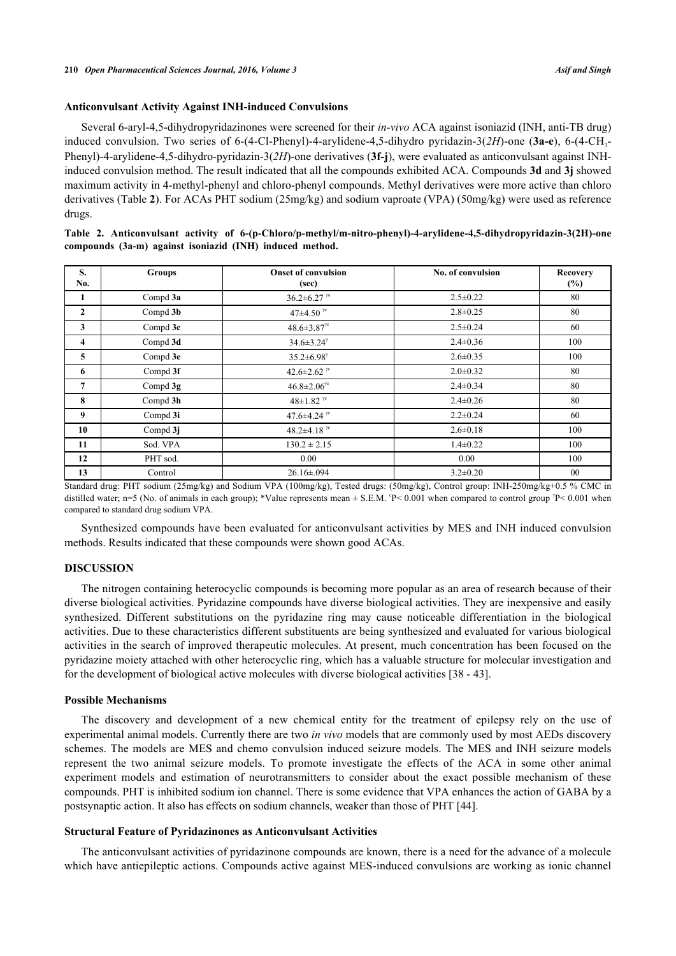## **Anticonvulsant Activity Against INH-induced Convulsions**

Several 6-aryl-4,5-dihydropyridazinones were screened for their *in-vivo* ACA against isoniazid (INH, anti-TB drug) induced convulsion. Two series of 6-(4-Cl-Phenyl)-4-arylidene-4,5-dihydro pyridazin-3(2H)-one (3a-e), 6-(4-CH<sub>3</sub>-Phenyl)-4-arylidene-4,5-dihydro-pyridazin-3(*2H*)-one derivatives (**3f-j**), were evaluated as anticonvulsant against INHinduced convulsion method. The result indicated that all the compounds exhibited ACA. Compounds **3d** and **3j** showed maximum activity in 4-methyl-phenyl and chloro-phenyl compounds. Methyl derivatives were more active than chloro derivatives (Table **[2](#page-7-0)**). For ACAs PHT sodium (25mg/kg) and sodium vaproate (VPA) (50mg/kg) were used as reference drugs.

<span id="page-7-0"></span>

| Table 2. Anticonvulsant activity of 6-(p-Chloro/p-methyl/m-nitro-phenyl)-4-arylidene-4,5-dihydropyridazin-3(2H)-one |  |
|---------------------------------------------------------------------------------------------------------------------|--|
| compounds (3a-m) against isoniazid (INH) induced method.                                                            |  |

| S.<br>No.               | <b>Groups</b> | <b>Onset of convulsion</b><br>(sec)            | No. of convulsion | Recovery<br>$(\%)$ |
|-------------------------|---------------|------------------------------------------------|-------------------|--------------------|
| 1                       | Compd 3a      | $36.2 \pm 6.27$ <sup>ya</sup>                  | $2.5 \pm 0.22$    | 80                 |
| $\mathbf{2}$            | Compd 3b      | 47 $\pm$ 4.50 <sup><math>\%</math></sup>       | $2.8 \pm 0.25$    | 80                 |
| 3                       | Compd 3c      | $48.6 \pm 3.87$ <sup>e</sup>                   | $2.5 \pm 0.24$    | 60                 |
| $\overline{\mathbf{4}}$ | Compd 3d      | $34.6 \pm 3.24^{\gamma}$                       | $2.4 \pm 0.36$    | 100                |
| 5                       | Compd 3e      | $35.2 \pm 6.98$                                | $2.6 \pm 0.35$    | 100                |
| 6                       | Compd 3f      | 42.6±2.62 <sup><math>\frac{1}{10}</math></sup> | $2.0 \pm 0.32$    | 80                 |
| $\overline{7}$          | Compd $3g$    | $46.8 \pm 2.06$ <sup>rc</sup>                  | $2.4 \pm 0.34$    | 80                 |
| 8                       | Compd 3h      | $48 \pm 1.82$ <sup>yc</sup>                    | $2.4 \pm 0.26$    | 80                 |
| 9                       | Compd 3i      | 47.6 $\pm$ 4.24 $\%$                           | $2.2 \pm 0.24$    | 60                 |
| 10                      | Compd $3j$    | 48.2 $\pm$ 4.18 <sup><math>\%</math></sup>     | $2.6 \pm 0.18$    | 100                |
| 11                      | Sod. VPA      | $130.2 \pm 2.15$                               | $1.4 \pm 0.22$    | 100                |
| 12                      | PHT sod.      | 0.00                                           | 0.00              | 100                |
| 13                      | Control       | $26.16 \pm 0.094$                              | $3.2 \pm 0.20$    | $00\,$             |

Standard drug: PHT sodium (25mg/kg) and Sodium VPA (100mg/kg), Tested drugs: (50mg/kg), Control group: INH-250mg/kg+0.5 % CMC in distilled water; n=5 (No. of animals in each group); \*Value represents mean  $\pm$  S.E.M. °P< 0.001 when compared to control group <sup> $p$ </sup> < 0.001 when compared to standard drug sodium VPA.

Synthesized compounds have been evaluated for anticonvulsant activities by MES and INH induced convulsion methods. Results indicated that these compounds were shown good ACAs.

## **DISCUSSION**

The nitrogen containing heterocyclic compounds is becoming more popular as an area of research because of their diverse biological activities. Pyridazine compounds have diverse biological activities. They are inexpensive and easily synthesized. Different substitutions on the pyridazine ring may cause noticeable differentiation in the biological activities. Due to these characteristics different substituents are being synthesized and evaluated for various biological activities in the search of improved therapeutic molecules. At present, much concentration has been focused on the pyridazine moiety attached with other heterocyclic ring, which has a valuable structure for molecular investigation and for the development of biological active molecules with diverse biological activities [[38](#page-10-9) - [43\]](#page-10-10).

## **Possible Mechanisms**

The discovery and development of a new chemical entity for the treatment of epilepsy rely on the use of experimental animal models. Currently there are two *in vivo* models that are commonly used by most AEDs discovery schemes. The models are MES and chemo convulsion induced seizure models. The MES and INH seizure models represent the two animal seizure models. To promote investigate the effects of the ACA in some other animal experiment models and estimation of neurotransmitters to consider about the exact possible mechanism of these compounds. PHT is inhibited sodium ion channel. There is some evidence that VPA enhances the action of GABA by a postsynaptic action. It also has effects on sodium channels, weaker than those of PHT [[44\]](#page-10-11).

#### **Structural Feature of Pyridazinones as Anticonvulsant Activities**

The anticonvulsant activities of pyridazinone compounds are known, there is a need for the advance of a molecule which have antiepileptic actions. Compounds active against MES-induced convulsions are working as ionic channel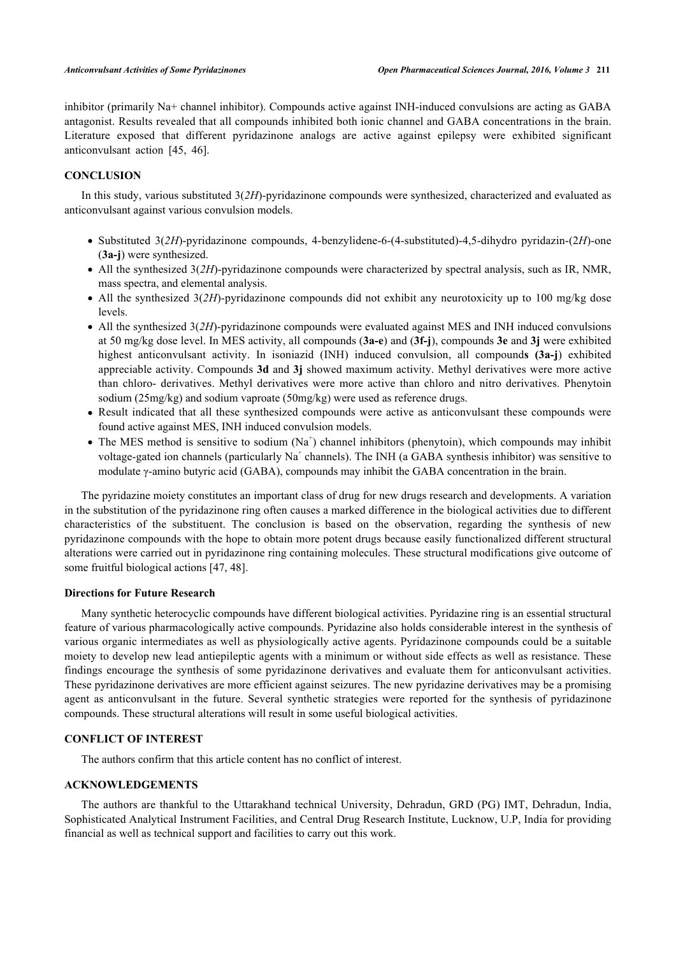inhibitor (primarily Na+ channel inhibitor). Compounds active against INH-induced convulsions are acting as GABA antagonist. Results revealed that all compounds inhibited both ionic channel and GABA concentrations in the brain. Literature exposed that different pyridazinone analogs are active against epilepsy were exhibited significant anticonvulsant action[[45,](#page-11-0) [46\]](#page-11-1).

## **CONCLUSION**

In this study, various substituted 3(*2H*)-pyridazinone compounds were synthesized, characterized and evaluated as anticonvulsant against various convulsion models.

- Substituted 3(*2H*)-pyridazinone compounds, 4-benzylidene-6-(4-substituted)-4,5-dihydro pyridazin-(2*H*)-one (**3a-j**) were synthesized.
- All the synthesized 3(*2H*)-pyridazinone compounds were characterized by spectral analysis, such as IR, NMR, mass spectra, and elemental analysis.
- All the synthesized 3(2H)-pyridazinone compounds did not exhibit any neurotoxicity up to 100 mg/kg dose levels.
- All the synthesized 3(2H)-pyridazinone compounds were evaluated against MES and INH induced convulsions at 50 mg/kg dose level. In MES activity, all compounds (**3a-e**) and (**3f-j**), compounds **3e** and **3j** were exhibited highest anticonvulsant activity. In isoniazid (INH) induced convulsion, all compound**s (3a-j**) exhibited appreciable activity. Compounds **3d** and **3j** showed maximum activity. Methyl derivatives were more active than chloro- derivatives. Methyl derivatives were more active than chloro and nitro derivatives. Phenytoin sodium (25mg/kg) and sodium vaproate (50mg/kg) were used as reference drugs.
- Result indicated that all these synthesized compounds were active as anticonvulsant these compounds were found active against MES, INH induced convulsion models.
- The MES method is sensitive to sodium  $(Na^+)$  channel inhibitors (phenytoin), which compounds may inhibit voltage-gated ion channels (particularly Na<sup>+</sup> channels). The INH (a GABA synthesis inhibitor) was sensitive to modulate γ-amino butyric acid (GABA), compounds may inhibit the GABA concentration in the brain.

The pyridazine moiety constitutes an important class of drug for new drugs research and developments. A variation in the substitution of the pyridazinone ring often causes a marked difference in the biological activities due to different characteristics of the substituent. The conclusion is based on the observation, regarding the synthesis of new pyridazinone compounds with the hope to obtain more potent drugs because easily functionalized different structural alterations were carried out in pyridazinone ring containing molecules. These structural modifications give outcome of some fruitful biological actions [[47,](#page-11-2) [48\]](#page-11-3).

#### **Directions for Future Research**

Many synthetic heterocyclic compounds have different biological activities. Pyridazine ring is an essential structural feature of various pharmacologically active compounds. Pyridazine also holds considerable interest in the synthesis of various organic intermediates as well as physiologically active agents. Pyridazinone compounds could be a suitable moiety to develop new lead antiepileptic agents with a minimum or without side effects as well as resistance. These findings encourage the synthesis of some pyridazinone derivatives and evaluate them for anticonvulsant activities. These pyridazinone derivatives are more efficient against seizures. The new pyridazine derivatives may be a promising agent as anticonvulsant in the future. Several synthetic strategies were reported for the synthesis of pyridazinone compounds. These structural alterations will result in some useful biological activities.

## **CONFLICT OF INTEREST**

The authors confirm that this article content has no conflict of interest.

#### **ACKNOWLEDGEMENTS**

The authors are thankful to the Uttarakhand technical University, Dehradun, GRD (PG) IMT, Dehradun, India, Sophisticated Analytical Instrument Facilities, and Central Drug Research Institute, Lucknow, U.P, India for providing financial as well as technical support and facilities to carry out this work.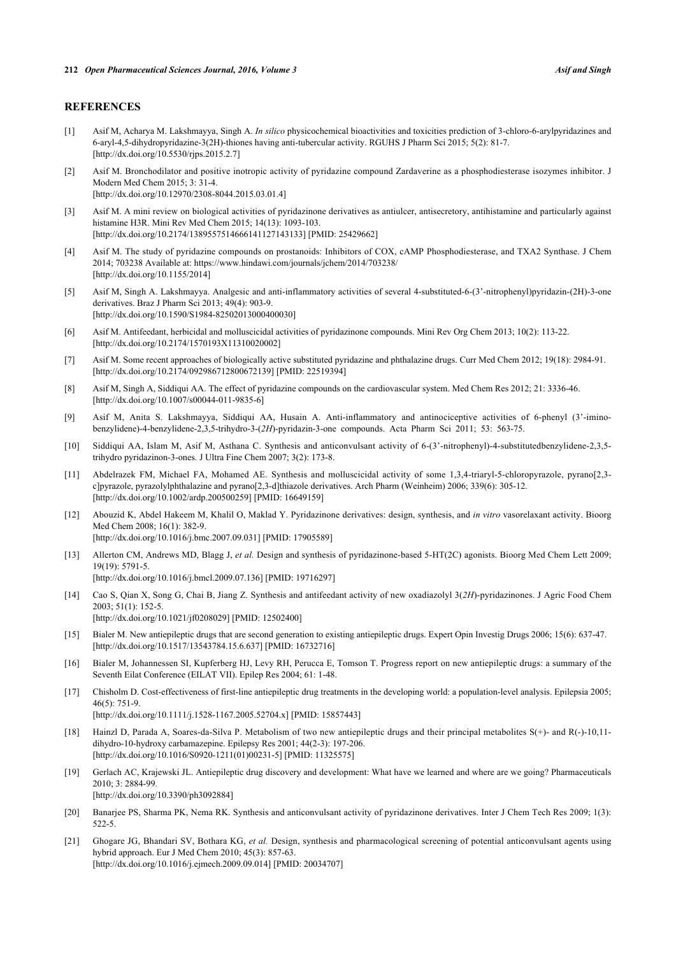## **REFERENCES**

- <span id="page-9-0"></span>[1] Asif M, Acharya M. Lakshmayya, Singh A. *In silico* physicochemical bioactivities and toxicities prediction of 3-chloro-6-arylpyridazines and 6-aryl-4,5-dihydropyridazine-3(2H)-thiones having anti-tubercular activity. RGUHS J Pharm Sci 2015; 5(2): 81-7. [\[http://dx.doi.org/10.5530/rjps.2015.2.7\]](http://dx.doi.org/10.5530/rjps.2015.2.7)
- [2] Asif M. Bronchodilator and positive inotropic activity of pyridazine compound Zardaverine as a phosphodiesterase isozymes inhibitor. J Modern Med Chem 2015; 3: 31-4. [\[http://dx.doi.org/10.12970/2308-8044.2015.03.01.4](http://dx.doi.org/10.12970/2308-8044.2015.03.01.4)]
- [3] Asif M. A mini review on biological activities of pyridazinone derivatives as antiulcer, antisecretory, antihistamine and particularly against histamine H3R. Mini Rev Med Chem 2015; 14(13): 1093-103. [\[http://dx.doi.org/10.2174/1389557514666141127143133\]](http://dx.doi.org/10.2174/1389557514666141127143133) [PMID: [25429662](http://www.ncbi.nlm.nih.gov/pubmed/25429662)]
- [4] Asif M. The study of pyridazine compounds on prostanoids: Inhibitors of COX, cAMP Phosphodiesterase, and TXA2 Synthase. J Chem 2014; 703238 Available at:<https://www.hindawi.com/journals/jchem/2014/703238/> [\[http://dx.doi.org/10.1155/2014\]](http://dx.doi.org/10.1155/2014)
- [5] Asif M, Singh A. Lakshmayya. Analgesic and anti-inflammatory activities of several 4-substituted-6-(3'-nitrophenyl)pyridazin-(2H)-3-one derivatives. Braz J Pharm Sci 2013; 49(4): 903-9. [\[http://dx.doi.org/10.1590/S1984-82502013000400030\]](http://dx.doi.org/10.1590/S1984-82502013000400030)
- [6] Asif M. Antifeedant, herbicidal and molluscicidal activities of pyridazinone compounds. Mini Rev Org Chem 2013; 10(2): 113-22. [\[http://dx.doi.org/10.2174/1570193X11310020002\]](http://dx.doi.org/10.2174/1570193X11310020002)
- [7] Asif M. Some recent approaches of biologically active substituted pyridazine and phthalazine drugs. Curr Med Chem 2012; 19(18): 2984-91. [\[http://dx.doi.org/10.2174/092986712800672139\]](http://dx.doi.org/10.2174/092986712800672139) [PMID: [22519394](http://www.ncbi.nlm.nih.gov/pubmed/22519394)]
- [8] Asif M, Singh A, Siddiqui AA. The effect of pyridazine compounds on the cardiovascular system. Med Chem Res 2012; 21: 3336-46. [\[http://dx.doi.org/10.1007/s00044-011-9835-6\]](http://dx.doi.org/10.1007/s00044-011-9835-6)
- [9] Asif M, Anita S. Lakshmayya, Siddiqui AA, Husain A. Anti-inflammatory and antinociceptive activities of 6-phenyl (3'-iminobenzylidene)-4-benzylidene-2,3,5-trihydro-3-(*2H*)-pyridazin-3-one compounds. Acta Pharm Sci 2011; 53: 563-75.
- [10] Siddiqui AA, Islam M, Asif M, Asthana C. Synthesis and anticonvulsant activity of 6-(3'-nitrophenyl)-4-substitutedbenzylidene-2,3,5 trihydro pyridazinon-3-ones. J Ultra Fine Chem 2007; 3(2): 173-8.
- [11] Abdelrazek FM, Michael FA, Mohamed AE. Synthesis and molluscicidal activity of some 1,3,4-triaryl-5-chloropyrazole, pyrano[2,3 c]pyrazole, pyrazolylphthalazine and pyrano[2,3-d]thiazole derivatives. Arch Pharm (Weinheim) 2006; 339(6): 305-12. [\[http://dx.doi.org/10.1002/ardp.200500259](http://dx.doi.org/10.1002/ardp.200500259)] [PMID: [16649159\]](http://www.ncbi.nlm.nih.gov/pubmed/16649159)
- [12] Abouzid K, Abdel Hakeem M, Khalil O, Maklad Y. Pyridazinone derivatives: design, synthesis, and *in vitro* vasorelaxant activity. Bioorg Med Chem 2008; 16(1): 382-9. [\[http://dx.doi.org/10.1016/j.bmc.2007.09.031\]](http://dx.doi.org/10.1016/j.bmc.2007.09.031) [PMID: [17905589](http://www.ncbi.nlm.nih.gov/pubmed/17905589)]
- [13] Allerton CM, Andrews MD, Blagg J, *et al.* Design and synthesis of pyridazinone-based 5-HT(2C) agonists. Bioorg Med Chem Lett 2009; 19(19): 5791-5.

[\[http://dx.doi.org/10.1016/j.bmcl.2009.07.136](http://dx.doi.org/10.1016/j.bmcl.2009.07.136)] [PMID: [19716297\]](http://www.ncbi.nlm.nih.gov/pubmed/19716297)

[\[http://dx.doi.org/10.1016/S0920-1211\(01\)00231-5\]](http://dx.doi.org/10.1016/S0920-1211(01)00231-5) [PMID: [11325575](http://www.ncbi.nlm.nih.gov/pubmed/11325575)]

- [14] Cao S, Qian X, Song G, Chai B, Jiang Z. Synthesis and antifeedant activity of new oxadiazolyl 3(*2H*)-pyridazinones. J Agric Food Chem  $2003:51(1):152-5$ [\[http://dx.doi.org/10.1021/jf0208029\]](http://dx.doi.org/10.1021/jf0208029) [PMID: [12502400](http://www.ncbi.nlm.nih.gov/pubmed/12502400)]
- <span id="page-9-1"></span>[15] Bialer M. New antiepileptic drugs that are second generation to existing antiepileptic drugs. Expert Opin Investig Drugs 2006; 15(6): 637-47. [\[http://dx.doi.org/10.1517/13543784.15.6.637\]](http://dx.doi.org/10.1517/13543784.15.6.637) [PMID: [16732716](http://www.ncbi.nlm.nih.gov/pubmed/16732716)]
- <span id="page-9-2"></span>[16] Bialer M, Johannessen SI, Kupferberg HJ, Levy RH, Perucca E, Tomson T. Progress report on new antiepileptic drugs: a summary of the Seventh Eilat Conference (EILAT VII). Epilep Res 2004; 61: 1-48.
- [17] Chisholm D. Cost-effectiveness of first-line antiepileptic drug treatments in the developing world: a population-level analysis. Epilepsia 2005; 46(5): 751-9. [\[http://dx.doi.org/10.1111/j.1528-1167.2005.52704.x\]](http://dx.doi.org/10.1111/j.1528-1167.2005.52704.x) [PMID: [15857443](http://www.ncbi.nlm.nih.gov/pubmed/15857443)]
- <span id="page-9-3"></span>[18] Hainzl D, Parada A, Soares-da-Silva P. Metabolism of two new antiepileptic drugs and their principal metabolites S(+)- and R(-)-10,11 dihydro-10-hydroxy carbamazepine. Epilepsy Res 2001; 44(2-3): 197-206.
- [19] Gerlach AC, Krajewski JL. Antiepileptic drug discovery and development: What have we learned and where are we going? Pharmaceuticals 2010; 3: 2884-99.

[\[http://dx.doi.org/10.3390/ph3092884\]](http://dx.doi.org/10.3390/ph3092884)

- <span id="page-9-4"></span>[20] Banarjee PS, Sharma PK, Nema RK. Synthesis and anticonvulsant activity of pyridazinone derivatives. Inter J Chem Tech Res 2009; 1(3): 522-5.
- <span id="page-9-5"></span>[21] Ghogare JG, Bhandari SV, Bothara KG, *et al.* Design, synthesis and pharmacological screening of potential anticonvulsant agents using hybrid approach. Eur J Med Chem 2010; 45(3): 857-63. [\[http://dx.doi.org/10.1016/j.ejmech.2009.09.014](http://dx.doi.org/10.1016/j.ejmech.2009.09.014)] [PMID: [20034707\]](http://www.ncbi.nlm.nih.gov/pubmed/20034707)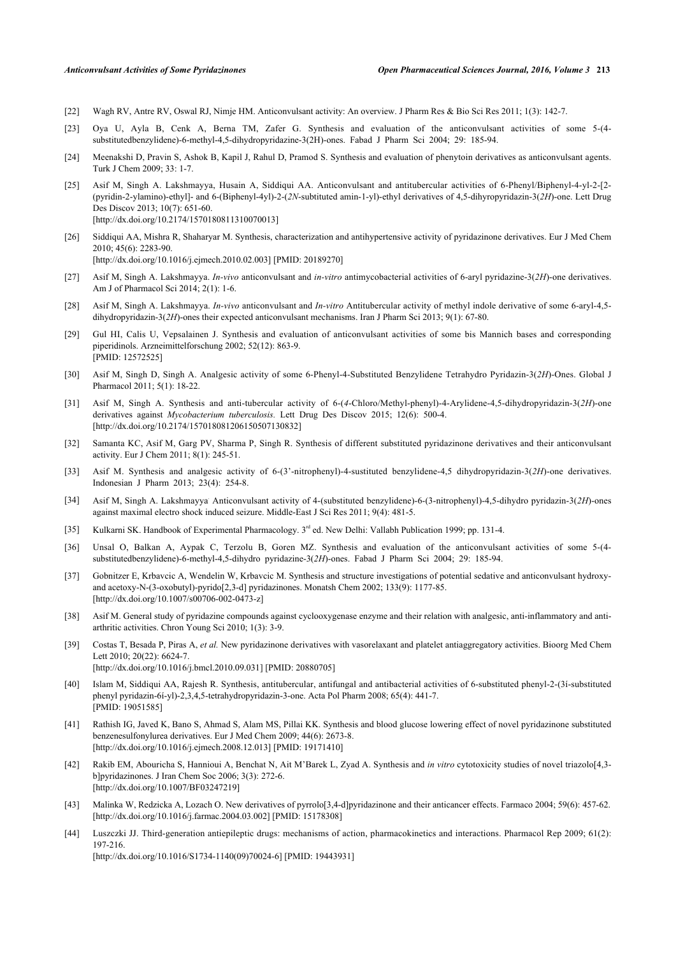- [22] Wagh RV, Antre RV, Oswal RJ, Nimje HM. Anticonvulsant activity: An overview. J Pharm Res & Bio Sci Res 2011; 1(3): 142-7.
- [23] Oya U, Ayla B, Cenk A, Berna TM, Zafer G. Synthesis and evaluation of the anticonvulsant activities of some 5-(4 substitutedbenzylidene)-6-methyl-4,5-dihydropyridazine-3(2H)-ones. Fabad J Pharm Sci 2004; 29: 185-94.
- [24] Meenakshi D, Pravin S, Ashok B, Kapil J, Rahul D, Pramod S. Synthesis and evaluation of phenytoin derivatives as anticonvulsant agents. Turk J Chem 2009; 33: 1-7.
- <span id="page-10-0"></span>[25] Asif M, Singh A. Lakshmayya, Husain A, Siddiqui AA. Anticonvulsant and antitubercular activities of 6-Phenyl/Biphenyl-4-yl-2-[2- (pyridin-2-ylamino)-ethyl]- and 6-(Biphenyl-4yl)-2-(*2N*-subtituted amin-1-yl)-ethyl derivatives of 4,5-dihyropyridazin-3(*2H*)-one. Lett Drug Des Discov 2013; 10(7): 651-60. [\[http://dx.doi.org/10.2174/1570180811310070013\]](http://dx.doi.org/10.2174/1570180811310070013)
- <span id="page-10-1"></span>[26] Siddiqui AA, Mishra R, Shaharyar M. Synthesis, characterization and antihypertensive activity of pyridazinone derivatives. Eur J Med Chem 2010; 45(6): 2283-90. [\[http://dx.doi.org/10.1016/j.ejmech.2010.02.003](http://dx.doi.org/10.1016/j.ejmech.2010.02.003)] [PMID: [20189270\]](http://www.ncbi.nlm.nih.gov/pubmed/20189270)
- [27] Asif M, Singh A. Lakshmayya. *In-vivo* anticonvulsant and *in-vitro* antimycobacterial activities of 6-aryl pyridazine-3(*2H*)-one derivatives. Am J of Pharmacol Sci 2014; 2(1): 1-6.
- <span id="page-10-2"></span>[28] Asif M, Singh A. Lakshmayya. *In-vivo* anticonvulsant and *In-vitro* Antitubercular activity of methyl indole derivative of some 6-aryl-4,5 dihydropyridazin-3(*2H*)-ones their expected anticonvulsant mechanisms. Iran J Pharm Sci 2013; 9(1): 67-80.
- <span id="page-10-3"></span>[29] Gul HI, Calis U, Vepsalainen J. Synthesis and evaluation of anticonvulsant activities of some bis Mannich bases and corresponding piperidinols. Arzneimittelforschung 2002; 52(12): 863-9. [PMID: [12572525\]](http://www.ncbi.nlm.nih.gov/pubmed/12572525)
- [30] Asif M, Singh D, Singh A. Analgesic activity of some 6-Phenyl-4-Substituted Benzylidene Tetrahydro Pyridazin-3(*2H*)-Ones. Global J Pharmacol 2011; 5(1): 18-22.
- <span id="page-10-4"></span>[31] Asif M, Singh A. Synthesis and anti-tubercular activity of 6-(*4*-Chloro/Methyl-phenyl)-4-Arylidene-4,5-dihydropyridazin-3(*2H*)-one derivatives against *Mycobacterium tuberculosis.* Lett Drug Des Discov 2015; 12(6): 500-4. [\[http://dx.doi.org/10.2174/157018081206150507130832\]](http://dx.doi.org/10.2174/157018081206150507130832)
- <span id="page-10-5"></span>[32] Samanta KC, Asif M, Garg PV, Sharma P, Singh R. Synthesis of different substituted pyridazinone derivatives and their anticonvulsant activity. Eur J Chem 2011; 8(1): 245-51.
- [33] Asif M. Synthesis and analgesic activity of 6-(3'-nitrophenyl)-4-sustituted benzylidene-4,5 dihydropyridazin-3(*2H*)-one derivatives. Indonesian J Pharm 2013; 23(4): 254-8.
- <span id="page-10-6"></span>[34] Asif M, Singh A. Lakshmayya. Anticonvulsant activity of 4-(substituted benzylidene)-6-(3-nitrophenyl)-4,5-dihydro pyridazin-3(*2H*)-ones against maximal electro shock induced seizure. Middle-East J Sci Res 2011; 9(4): 481-5.
- <span id="page-10-7"></span>[35] Kulkarni SK. Handbook of Experimental Pharmacology. 3<sup>rd</sup> ed. New Delhi: Vallabh Publication 1999; pp. 131-4.
- [36] Unsal O, Balkan A, Aypak C, Terzolu B, Goren MZ. Synthesis and evaluation of the anticonvulsant activities of some 5-(4 substitutedbenzylidene)-6-methyl-4,5-dihydro pyridazine-3(*2H*)-ones. Fabad J Pharm Sci 2004; 29: 185-94.
- <span id="page-10-8"></span>[37] Gobnitzer E, Krbavcic A, Wendelin W, Krbavcic M. Synthesis and structure investigations of potential sedative and anticonvulsant hydroxyand acetoxy-N-(3-oxobutyl)-pyrido[2,3-d] pyridazinones. Monatsh Chem 2002; 133(9): 1177-85. [\[http://dx.doi.org/10.1007/s00706-002-0473-z](http://dx.doi.org/10.1007/s00706-002-0473-z)]
- <span id="page-10-9"></span>[38] Asif M. General study of pyridazine compounds against cyclooxygenase enzyme and their relation with analgesic, anti-inflammatory and antiarthritic activities. Chron Young Sci 2010; 1(3): 3-9.
- [39] Costas T, Besada P, Piras A, *et al.* New pyridazinone derivatives with vasorelaxant and platelet antiaggregatory activities. Bioorg Med Chem Lett 2010; 20(22): 6624-7. [\[http://dx.doi.org/10.1016/j.bmcl.2010.09.031](http://dx.doi.org/10.1016/j.bmcl.2010.09.031)] [PMID: [20880705\]](http://www.ncbi.nlm.nih.gov/pubmed/20880705)
- [40] Islam M, Siddiqui AA, Rajesh R. Synthesis, antitubercular, antifungal and antibacterial activities of 6-substituted phenyl-2-(3í-substituted phenyl pyridazin-6í-yl)-2,3,4,5-tetrahydropyridazin-3-one. Acta Pol Pharm 2008; 65(4): 441-7. [PMID: [19051585\]](http://www.ncbi.nlm.nih.gov/pubmed/19051585)
- [41] Rathish IG, Javed K, Bano S, Ahmad S, Alam MS, Pillai KK. Synthesis and blood glucose lowering effect of novel pyridazinone substituted benzenesulfonylurea derivatives. Eur J Med Chem 2009; 44(6): 2673-8. [\[http://dx.doi.org/10.1016/j.ejmech.2008.12.013](http://dx.doi.org/10.1016/j.ejmech.2008.12.013)] [PMID: [19171410\]](http://www.ncbi.nlm.nih.gov/pubmed/19171410)
- [42] Rakib EM, Abouricha S, Hannioui A, Benchat N, Ait M'Barek L, Zyad A. Synthesis and *in vitro* cytotoxicity studies of novel triazolo[4,3 b]pyridazinones. J Iran Chem Soc 2006; 3(3): 272-6. [\[http://dx.doi.org/10.1007/BF03247219\]](http://dx.doi.org/10.1007/BF03247219)
- <span id="page-10-10"></span>[43] Malinka W, Redzicka A, Lozach O. New derivatives of pyrrolo[3,4-d]pyridazinone and their anticancer effects. Farmaco 2004; 59(6): 457-62. [\[http://dx.doi.org/10.1016/j.farmac.2004.03.002](http://dx.doi.org/10.1016/j.farmac.2004.03.002)] [PMID: [15178308\]](http://www.ncbi.nlm.nih.gov/pubmed/15178308)
- <span id="page-10-11"></span>[44] Luszczki JJ. Third-generation antiepileptic drugs: mechanisms of action, pharmacokinetics and interactions. Pharmacol Rep 2009; 61(2): 197-216.

[\[http://dx.doi.org/10.1016/S1734-1140\(09\)70024-6\]](http://dx.doi.org/10.1016/S1734-1140(09)70024-6) [PMID: [19443931](http://www.ncbi.nlm.nih.gov/pubmed/19443931)]